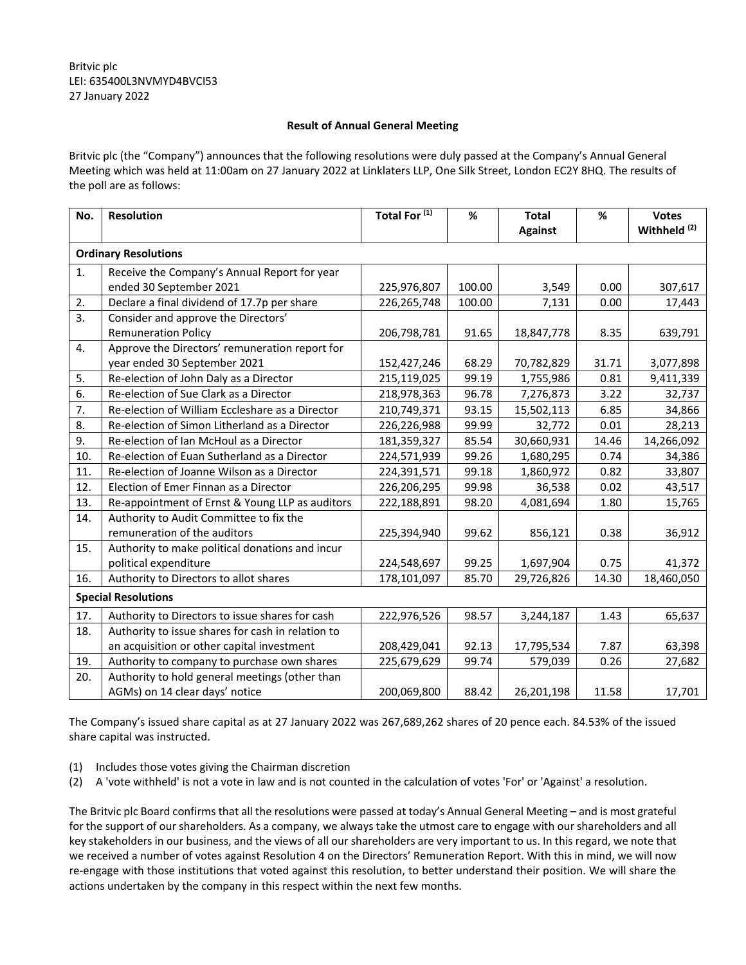## **Result of Annual General Meeting**

Britvic plc (the "Company") announces that the following resolutions were duly passed at the Company's Annual General Meeting which was held at 11:00am on 27 January 2022 at Linklaters LLP, One Silk Street, London EC2Y 8HQ. The results of the poll are as follows:

| No.                         | <b>Resolution</b>                                 | Total For <sup>(1)</sup> | %      | <b>Total</b><br><b>Against</b> | %     | <b>Votes</b><br>Withheld <sup>(2)</sup> |  |
|-----------------------------|---------------------------------------------------|--------------------------|--------|--------------------------------|-------|-----------------------------------------|--|
| <b>Ordinary Resolutions</b> |                                                   |                          |        |                                |       |                                         |  |
| 1.                          | Receive the Company's Annual Report for year      |                          |        |                                |       |                                         |  |
|                             | ended 30 September 2021                           | 225,976,807              | 100.00 | 3,549                          | 0.00  | 307,617                                 |  |
| 2.                          | Declare a final dividend of 17.7p per share       | 226,265,748              | 100.00 | 7,131                          | 0.00  | 17,443                                  |  |
| 3.                          | Consider and approve the Directors'               |                          |        |                                |       |                                         |  |
|                             | <b>Remuneration Policy</b>                        | 206,798,781              | 91.65  | 18,847,778                     | 8.35  | 639,791                                 |  |
| 4.                          | Approve the Directors' remuneration report for    |                          |        |                                |       |                                         |  |
|                             | year ended 30 September 2021                      | 152,427,246              | 68.29  | 70,782,829                     | 31.71 | 3,077,898                               |  |
| 5.                          | Re-election of John Daly as a Director            | 215,119,025              | 99.19  | 1,755,986                      | 0.81  | 9,411,339                               |  |
| 6.                          | Re-election of Sue Clark as a Director            | 218,978,363              | 96.78  | 7,276,873                      | 3.22  | 32,737                                  |  |
| 7.                          | Re-election of William Eccleshare as a Director   | 210,749,371              | 93.15  | 15,502,113                     | 6.85  | 34,866                                  |  |
| 8.                          | Re-election of Simon Litherland as a Director     | 226,226,988              | 99.99  | 32,772                         | 0.01  | 28,213                                  |  |
| 9.                          | Re-election of Ian McHoul as a Director           | 181,359,327              | 85.54  | 30,660,931                     | 14.46 | 14,266,092                              |  |
| 10.                         | Re-election of Euan Sutherland as a Director      | 224,571,939              | 99.26  | 1,680,295                      | 0.74  | 34,386                                  |  |
| 11.                         | Re-election of Joanne Wilson as a Director        | 224,391,571              | 99.18  | 1,860,972                      | 0.82  | 33,807                                  |  |
| 12.                         | Election of Emer Finnan as a Director             | 226,206,295              | 99.98  | 36,538                         | 0.02  | 43,517                                  |  |
| 13.                         | Re-appointment of Ernst & Young LLP as auditors   | 222,188,891              | 98.20  | 4,081,694                      | 1.80  | 15,765                                  |  |
| 14.                         | Authority to Audit Committee to fix the           |                          |        |                                |       |                                         |  |
|                             | remuneration of the auditors                      | 225,394,940              | 99.62  | 856,121                        | 0.38  | 36,912                                  |  |
| 15.                         | Authority to make political donations and incur   |                          |        |                                |       |                                         |  |
|                             | political expenditure                             | 224,548,697              | 99.25  | 1,697,904                      | 0.75  | 41,372                                  |  |
| 16.                         | Authority to Directors to allot shares            | 178,101,097              | 85.70  | 29,726,826                     | 14.30 | 18,460,050                              |  |
| <b>Special Resolutions</b>  |                                                   |                          |        |                                |       |                                         |  |
| 17.                         | Authority to Directors to issue shares for cash   | 222,976,526              | 98.57  | 3,244,187                      | 1.43  | 65,637                                  |  |
| 18.                         | Authority to issue shares for cash in relation to |                          |        |                                |       |                                         |  |
|                             | an acquisition or other capital investment        | 208,429,041              | 92.13  | 17,795,534                     | 7.87  | 63,398                                  |  |
| 19.                         | Authority to company to purchase own shares       | 225,679,629              | 99.74  | 579,039                        | 0.26  | 27,682                                  |  |
| 20.                         | Authority to hold general meetings (other than    |                          |        |                                |       |                                         |  |
|                             | AGMs) on 14 clear days' notice                    | 200,069,800              | 88.42  | 26,201,198                     | 11.58 | 17,701                                  |  |

The Company's issued share capital as at 27 January 2022 was 267,689,262 shares of 20 pence each. 84.53% of the issued share capital was instructed.

- (1) Includes those votes giving the Chairman discretion
- (2) A 'vote withheld' is not a vote in law and is not counted in the calculation of votes 'For' or 'Against' a resolution.

The Britvic plc Board confirms that all the resolutions were passed at today's Annual General Meeting – and is most grateful for the support of our shareholders. As a company, we always take the utmost care to engage with our shareholders and all key stakeholders in our business, and the views of all our shareholders are very important to us. In this regard, we note that we received a number of votes against Resolution 4 on the Directors' Remuneration Report. With this in mind, we will now re-engage with those institutions that voted against this resolution, to better understand their position. We will share the actions undertaken by the company in this respect within the next few months.